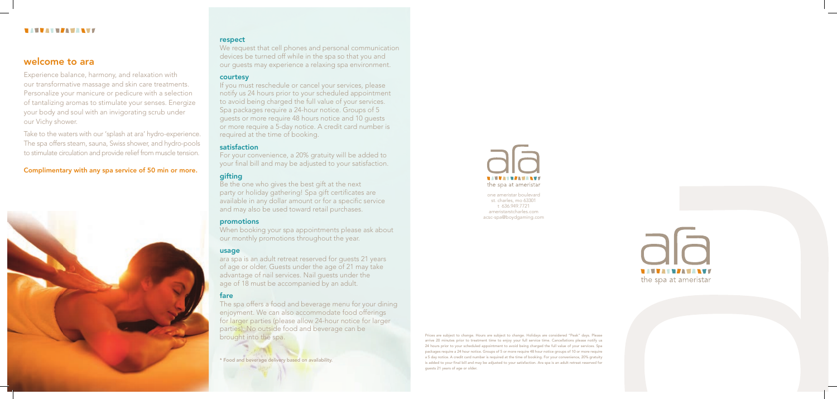## **WANDAI WANDARTI**

# welcome to ara

Experience balance, harmony, and relaxation with our transformative massage and skin care treatments. Personalize your manicure or pedicure with a selection of tantalizing aromas to stimulate your senses. Energize your body and soul with an invigorating scrub under our Vichy shower.

Take to the waters with our 'splash at ara' hydro-experience. The spa offers steam, sauna, Swiss shower, and hydro-pools to stimulate circulation and provide relief from muscle tension.

Complimentary with any spa service of 50 min or more.



We request that cell phones and personal communication devices be turned off while in the spa so that you and our guests may experience a relaxing spa environment.

> Prices are subject to change. Hours are subject to change. Holidays are considered "Peak" days. Please arrive 20 minutes prior to treatment time to enjoy your full service time. Cancellations please notify us 24 hours prior to your scheduled appointment to avoid being charged the full value of your services. Spa packages require a 24 hour notice. Groups of 5 or more require 48 hour notice groups of 10 or more require a 5 day notice. A credit card number is required at the time of booking. For your convenience, 20% gratuity is added to your final bill and may be adjusted to your satisfaction. Ara spa is an adult retreat reserved for guests 21 years of age or older.



If you must reschedule or cancel your services, please notify us 24 hours prior to your scheduled appointment to avoid being charged the full value of your services. Spa packages require a 24-hour notice. Groups of 5 guests or more require 48 hours notice and 10 guests or more require a 5-day notice. A credit card number is required at the time of booking.

### respect

## courtesy

# satisfaction

For your convenience, a 20% gratuity will be added to your final bill and may be adjusted to your satisfaction.

## gifting

Be the one who gives the best gift at the next party or holiday gathering! Spa gift certificates are available in any dollar amount or for a specific service and may also be used toward retail purchases.

## promotions

When booking your spa appointments please ask about our monthly promotions throughout the year.

## usage

ara spa is an adult retreat reserved for guests 21 years of age or older. Guests under the age of 21 may take advantage of nail services. Nail guests under the age of 18 must be accompanied by an adult.

## fare

The spa offers a food and beverage menu for your dining enjoyment. We can also accommodate food offerings for larger parties (please allow 24-hour notice for larger parties). No outside food and beverage can be brought into the spa.

\* Food and beverage delivery based on availability.



one ameristar boulevard st. charles, mo 63301 t 636.949.7721 ameristarstcharles.com acsc-spa@boydgaming.com